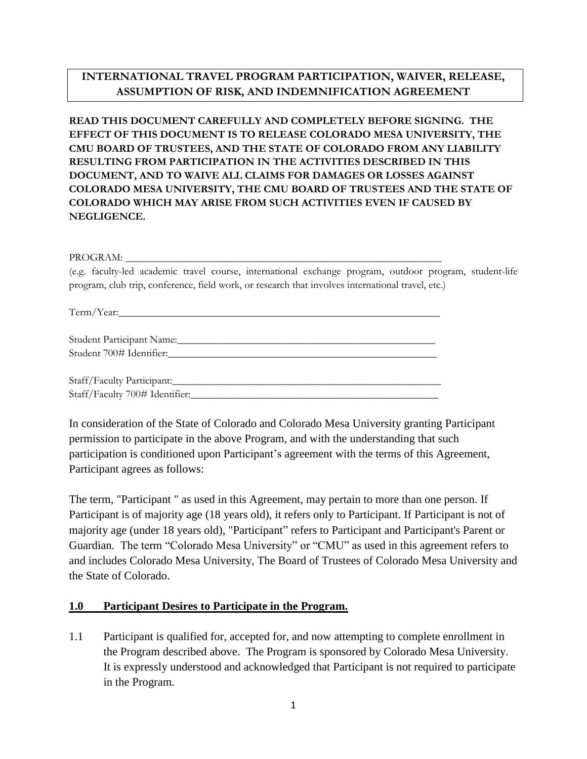# **INTERNATIONAL TRAVEL PROGRAM PARTICIPATION, WAIVER, RELEASE, ASSUMPTION OF RISK, AND INDEMNIFICATION AGREEMENT**

**READ THIS DOCUMENT CAREFULLY AND COMPLETELY BEFORE SIGNING. THE EFFECT OF THIS DOCUMENT IS TO RELEASE COLORADO MESA UNIVERSITY, THE CMU BOARD OF TRUSTEES, AND THE STATE OF COLORADO FROM ANY LIABILITY RESULTING FROM PARTICIPATION IN THE ACTIVITIES DESCRIBED IN THIS DOCUMENT, AND TO WAIVE ALL CLAIMS FOR DAMAGES OR LOSSES AGAINST COLORADO MESA UNIVERSITY, THE CMU BOARD OF TRUSTEES AND THE STATE OF COLORADO WHICH MAY ARISE FROM SUCH ACTIVITIES EVEN IF CAUSED BY NEGLIGENCE.**

PROGRAM:

(e.g. faculty-led academic travel course, international exchange program, outdoor program, student-life program, club trip, conference, field work, or research that involves international travel, etc.)

Term/Year:

| Student Participant Name: |  |
|---------------------------|--|
| Student 700# Identifier:  |  |

Staff/Faculty Participant: Staff/Faculty 700# Identifier:\_\_\_\_\_\_\_\_\_\_\_\_\_\_\_\_\_\_\_\_\_\_\_\_\_\_\_\_\_\_\_\_\_\_\_\_\_\_\_\_\_\_\_\_\_\_\_

In consideration of the State of Colorado and Colorado Mesa University granting Participant permission to participate in the above Program, and with the understanding that such participation is conditioned upon Participant's agreement with the terms of this Agreement, Participant agrees as follows:

The term, "Participant " as used in this Agreement, may pertain to more than one person. If Participant is of majority age (18 years old), it refers only to Participant. If Participant is not of majority age (under 18 years old), "Participant" refers to Participant and Participant's Parent or Guardian. The term "Colorado Mesa University" or "CMU" as used in this agreement refers to and includes Colorado Mesa University, The Board of Trustees of Colorado Mesa University and the State of Colorado.

#### **1.0 Participant Desires to Participate in the Program.**

1.1 Participant is qualified for, accepted for, and now attempting to complete enrollment in the Program described above. The Program is sponsored by Colorado Mesa University. It is expressly understood and acknowledged that Participant is not required to participate in the Program.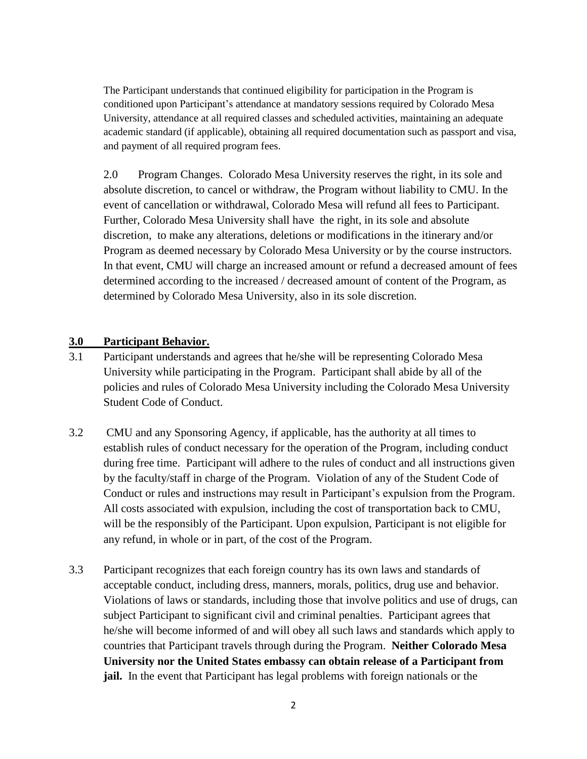The Participant understands that continued eligibility for participation in the Program is conditioned upon Participant's attendance at mandatory sessions required by Colorado Mesa University, attendance at all required classes and scheduled activities, maintaining an adequate academic standard (if applicable), obtaining all required documentation such as passport and visa, and payment of all required program fees.

2.0 Program Changes. Colorado Mesa University reserves the right, in its sole and absolute discretion, to cancel or withdraw, the Program without liability to CMU. In the event of cancellation or withdrawal, Colorado Mesa will refund all fees to Participant. Further, Colorado Mesa University shall have the right, in its sole and absolute discretion, to make any alterations, deletions or modifications in the itinerary and/or Program as deemed necessary by Colorado Mesa University or by the course instructors. In that event, CMU will charge an increased amount or refund a decreased amount of fees determined according to the increased / decreased amount of content of the Program, as determined by Colorado Mesa University, also in its sole discretion.

### **3.0 Participant Behavior.**

- 3.1 Participant understands and agrees that he/she will be representing Colorado Mesa University while participating in the Program. Participant shall abide by all of the policies and rules of Colorado Mesa University including the Colorado Mesa University Student Code of Conduct.
- 3.2 CMU and any Sponsoring Agency, if applicable, has the authority at all times to establish rules of conduct necessary for the operation of the Program, including conduct during free time. Participant will adhere to the rules of conduct and all instructions given by the faculty/staff in charge of the Program. Violation of any of the Student Code of Conduct or rules and instructions may result in Participant's expulsion from the Program. All costs associated with expulsion, including the cost of transportation back to CMU, will be the responsibly of the Participant. Upon expulsion, Participant is not eligible for any refund, in whole or in part, of the cost of the Program.
- 3.3 Participant recognizes that each foreign country has its own laws and standards of acceptable conduct, including dress, manners, morals, politics, drug use and behavior. Violations of laws or standards, including those that involve politics and use of drugs, can subject Participant to significant civil and criminal penalties. Participant agrees that he/she will become informed of and will obey all such laws and standards which apply to countries that Participant travels through during the Program. **Neither Colorado Mesa University nor the United States embassy can obtain release of a Participant from jail.** In the event that Participant has legal problems with foreign nationals or the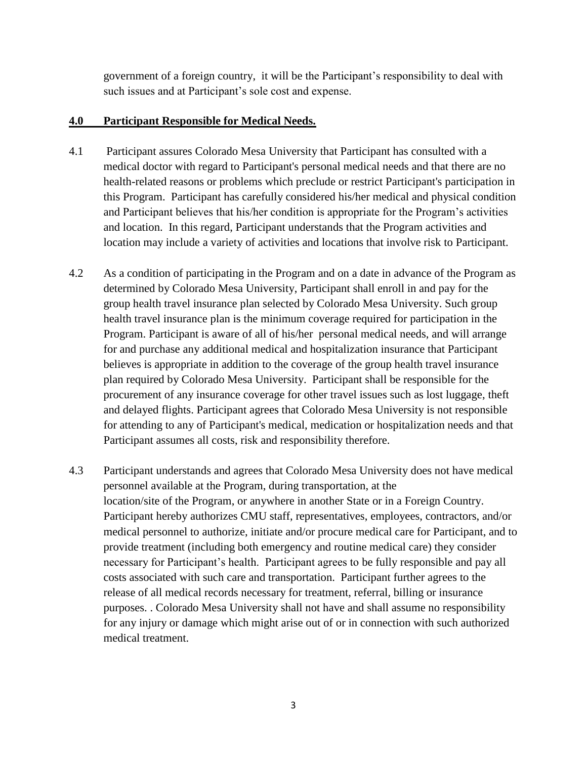government of a foreign country, it will be the Participant's responsibility to deal with such issues and at Participant's sole cost and expense.

### **4.0 Participant Responsible for Medical Needs.**

- 4.1 Participant assures Colorado Mesa University that Participant has consulted with a medical doctor with regard to Participant's personal medical needs and that there are no health-related reasons or problems which preclude or restrict Participant's participation in this Program. Participant has carefully considered his/her medical and physical condition and Participant believes that his/her condition is appropriate for the Program's activities and location. In this regard, Participant understands that the Program activities and location may include a variety of activities and locations that involve risk to Participant.
- 4.2 As a condition of participating in the Program and on a date in advance of the Program as determined by Colorado Mesa University, Participant shall enroll in and pay for the group health travel insurance plan selected by Colorado Mesa University. Such group health travel insurance plan is the minimum coverage required for participation in the Program. Participant is aware of all of his/her personal medical needs, and will arrange for and purchase any additional medical and hospitalization insurance that Participant believes is appropriate in addition to the coverage of the group health travel insurance plan required by Colorado Mesa University. Participant shall be responsible for the procurement of any insurance coverage for other travel issues such as lost luggage, theft and delayed flights. Participant agrees that Colorado Mesa University is not responsible for attending to any of Participant's medical, medication or hospitalization needs and that Participant assumes all costs, risk and responsibility therefore.
- 4.3 Participant understands and agrees that Colorado Mesa University does not have medical personnel available at the Program, during transportation, at the location/site of the Program, or anywhere in another State or in a Foreign Country. Participant hereby authorizes CMU staff, representatives, employees, contractors, and/or medical personnel to authorize, initiate and/or procure medical care for Participant, and to provide treatment (including both emergency and routine medical care) they consider necessary for Participant's health. Participant agrees to be fully responsible and pay all costs associated with such care and transportation. Participant further agrees to the release of all medical records necessary for treatment, referral, billing or insurance purposes. . Colorado Mesa University shall not have and shall assume no responsibility for any injury or damage which might arise out of or in connection with such authorized medical treatment.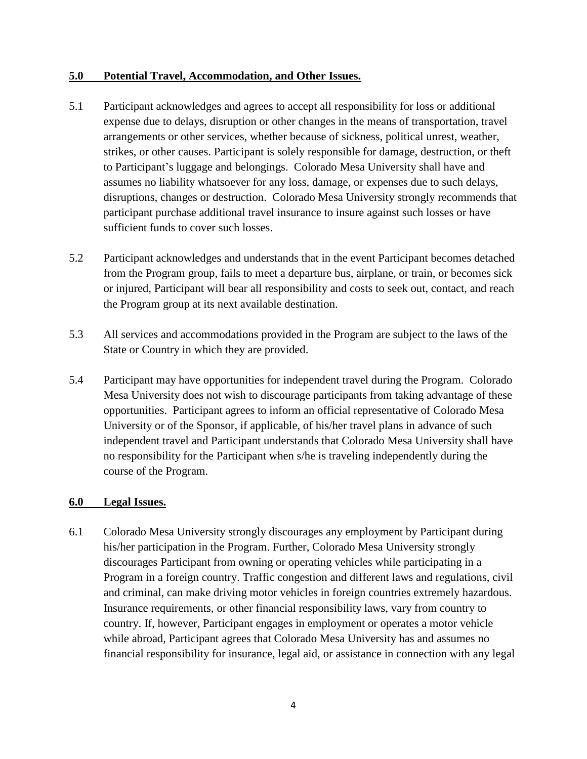### **5.0 Potential Travel, Accommodation, and Other Issues.**

- 5.1 Participant acknowledges and agrees to accept all responsibility for loss or additional expense due to delays, disruption or other changes in the means of transportation, travel arrangements or other services, whether because of sickness, political unrest, weather, strikes, or other causes. Participant is solely responsible for damage, destruction, or theft to Participant's luggage and belongings. Colorado Mesa University shall have and assumes no liability whatsoever for any loss, damage, or expenses due to such delays, disruptions, changes or destruction. Colorado Mesa University strongly recommends that participant purchase additional travel insurance to insure against such losses or have sufficient funds to cover such losses.
- 5.2 Participant acknowledges and understands that in the event Participant becomes detached from the Program group, fails to meet a departure bus, airplane, or train, or becomes sick or injured, Participant will bear all responsibility and costs to seek out, contact, and reach the Program group at its next available destination.
- 5.3 All services and accommodations provided in the Program are subject to the laws of the State or Country in which they are provided.
- 5.4 Participant may have opportunities for independent travel during the Program. Colorado Mesa University does not wish to discourage participants from taking advantage of these opportunities. Participant agrees to inform an official representative of Colorado Mesa University or of the Sponsor, if applicable, of his/her travel plans in advance of such independent travel and Participant understands that Colorado Mesa University shall have no responsibility for the Participant when s/he is traveling independently during the course of the Program.

## **6.0 Legal Issues.**

6.1 Colorado Mesa University strongly discourages any employment by Participant during his/her participation in the Program. Further, Colorado Mesa University strongly discourages Participant from owning or operating vehicles while participating in a Program in a foreign country. Traffic congestion and different laws and regulations, civil and criminal, can make driving motor vehicles in foreign countries extremely hazardous. Insurance requirements, or other financial responsibility laws, vary from country to country. If, however, Participant engages in employment or operates a motor vehicle while abroad, Participant agrees that Colorado Mesa University has and assumes no financial responsibility for insurance, legal aid, or assistance in connection with any legal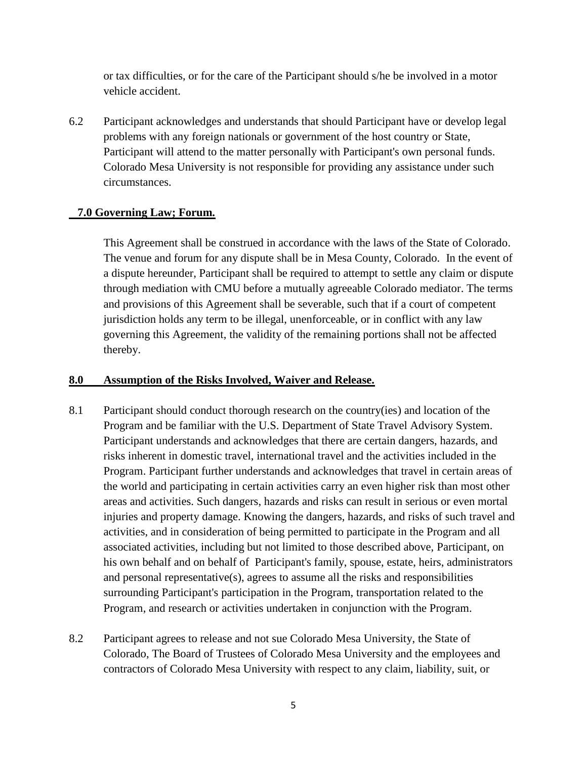or tax difficulties, or for the care of the Participant should s/he be involved in a motor vehicle accident.

6.2 Participant acknowledges and understands that should Participant have or develop legal problems with any foreign nationals or government of the host country or State, Participant will attend to the matter personally with Participant's own personal funds. Colorado Mesa University is not responsible for providing any assistance under such circumstances.

#### **7.0 Governing Law; Forum.**

This Agreement shall be construed in accordance with the laws of the State of Colorado. The venue and forum for any dispute shall be in Mesa County, Colorado. In the event of a dispute hereunder, Participant shall be required to attempt to settle any claim or dispute through mediation with CMU before a mutually agreeable Colorado mediator. The terms and provisions of this Agreement shall be severable, such that if a court of competent jurisdiction holds any term to be illegal, unenforceable, or in conflict with any law governing this Agreement, the validity of the remaining portions shall not be affected thereby.

#### **8.0 Assumption of the Risks Involved, Waiver and Release.**

- 8.1 Participant should conduct thorough research on the country(ies) and location of the Program and be familiar with the U.S. Department of State Travel Advisory System. Participant understands and acknowledges that there are certain dangers, hazards, and risks inherent in domestic travel, international travel and the activities included in the Program. Participant further understands and acknowledges that travel in certain areas of the world and participating in certain activities carry an even higher risk than most other areas and activities. Such dangers, hazards and risks can result in serious or even mortal injuries and property damage. Knowing the dangers, hazards, and risks of such travel and activities, and in consideration of being permitted to participate in the Program and all associated activities, including but not limited to those described above, Participant, on his own behalf and on behalf of Participant's family, spouse, estate, heirs, administrators and personal representative(s), agrees to assume all the risks and responsibilities surrounding Participant's participation in the Program, transportation related to the Program, and research or activities undertaken in conjunction with the Program.
- 8.2 Participant agrees to release and not sue Colorado Mesa University, the State of Colorado, The Board of Trustees of Colorado Mesa University and the employees and contractors of Colorado Mesa University with respect to any claim, liability, suit, or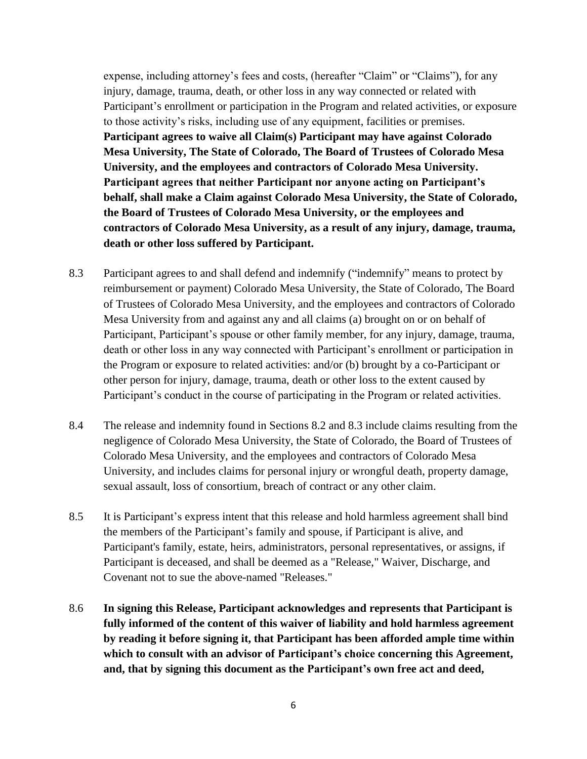expense, including attorney's fees and costs, (hereafter "Claim" or "Claims"), for any injury, damage, trauma, death, or other loss in any way connected or related with Participant's enrollment or participation in the Program and related activities, or exposure to those activity's risks, including use of any equipment, facilities or premises. **Participant agrees to waive all Claim(s) Participant may have against Colorado Mesa University, The State of Colorado, The Board of Trustees of Colorado Mesa University, and the employees and contractors of Colorado Mesa University. Participant agrees that neither Participant nor anyone acting on Participant's behalf, shall make a Claim against Colorado Mesa University, the State of Colorado, the Board of Trustees of Colorado Mesa University, or the employees and contractors of Colorado Mesa University, as a result of any injury, damage, trauma, death or other loss suffered by Participant.**

- 8.3 Participant agrees to and shall defend and indemnify ("indemnify" means to protect by reimbursement or payment) Colorado Mesa University, the State of Colorado, The Board of Trustees of Colorado Mesa University, and the employees and contractors of Colorado Mesa University from and against any and all claims (a) brought on or on behalf of Participant, Participant's spouse or other family member, for any injury, damage, trauma, death or other loss in any way connected with Participant's enrollment or participation in the Program or exposure to related activities: and/or (b) brought by a co-Participant or other person for injury, damage, trauma, death or other loss to the extent caused by Participant's conduct in the course of participating in the Program or related activities.
- 8.4 The release and indemnity found in Sections 8.2 and 8.3 include claims resulting from the negligence of Colorado Mesa University, the State of Colorado, the Board of Trustees of Colorado Mesa University, and the employees and contractors of Colorado Mesa University, and includes claims for personal injury or wrongful death, property damage, sexual assault, loss of consortium, breach of contract or any other claim.
- 8.5 It is Participant's express intent that this release and hold harmless agreement shall bind the members of the Participant's family and spouse, if Participant is alive, and Participant's family, estate, heirs, administrators, personal representatives, or assigns, if Participant is deceased, and shall be deemed as a "Release," Waiver, Discharge, and Covenant not to sue the above-named "Releases."
- 8.6 **In signing this Release, Participant acknowledges and represents that Participant is fully informed of the content of this waiver of liability and hold harmless agreement by reading it before signing it, that Participant has been afforded ample time within which to consult with an advisor of Participant's choice concerning this Agreement, and, that by signing this document as the Participant's own free act and deed,**